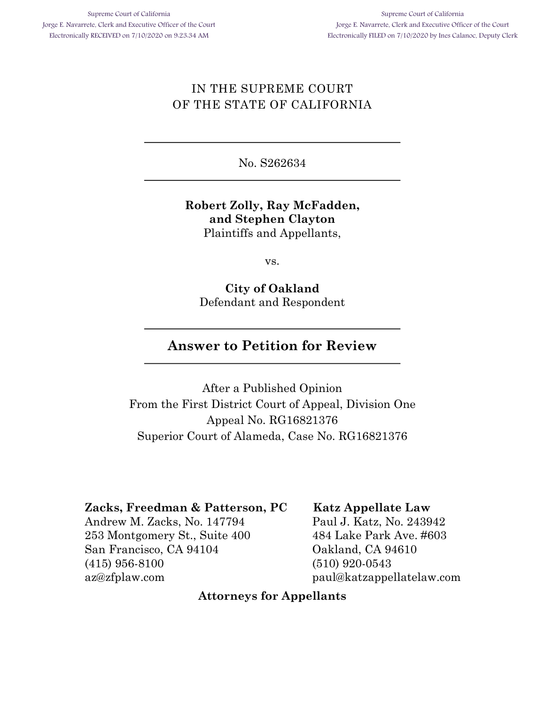# IN THE SUPREME COURT OF THE STATE OF CALIFORNIA

No. S262634

### **Robert Zolly, Ray McFadden, and Stephen Clayton** Plaintiffs and Appellants,

vs.

**City of Oakland** Defendant and Respondent

# **Answer to Petition for Review**

After a Published Opinion From the First District Court of Appeal, Division One Appeal No. RG16821376 Superior Court of Alameda, Case No. RG16821376

### **Zacks, Freedman & Patterson, PC**

Andrew M. Zacks, No. 147794 253 Montgomery St., Suite 400 San Francisco, CA 94104 (415) 956-8100 az@zfplaw.com

### **Katz Appellate Law**

Paul J. Katz, No. 243942 484 Lake Park Ave. #603 Oakland, CA 94610 (510) 920-0543 paul@katzappellatelaw.com

### **Attorneys for Appellants**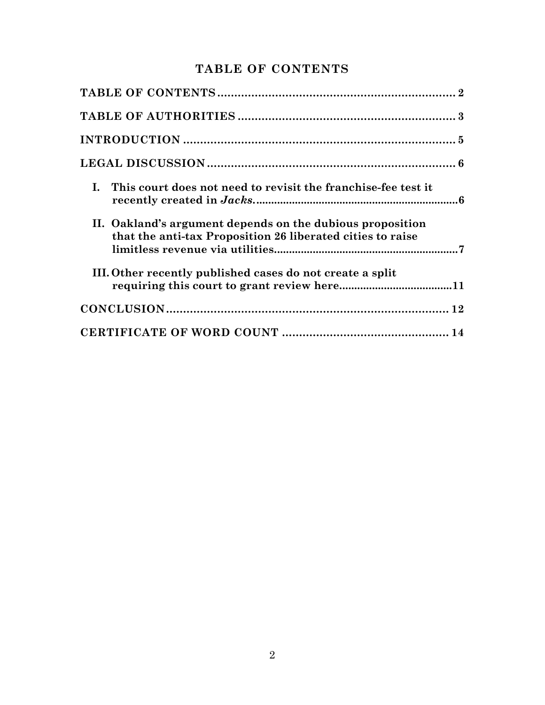# **TABLE OF CONTENTS**

| I. This court does not need to revisit the franchise-fee test it                                                        |
|-------------------------------------------------------------------------------------------------------------------------|
| II. Oakland's argument depends on the dubious proposition<br>that the anti-tax Proposition 26 liberated cities to raise |
| III. Other recently published cases do not create a split                                                               |
|                                                                                                                         |
|                                                                                                                         |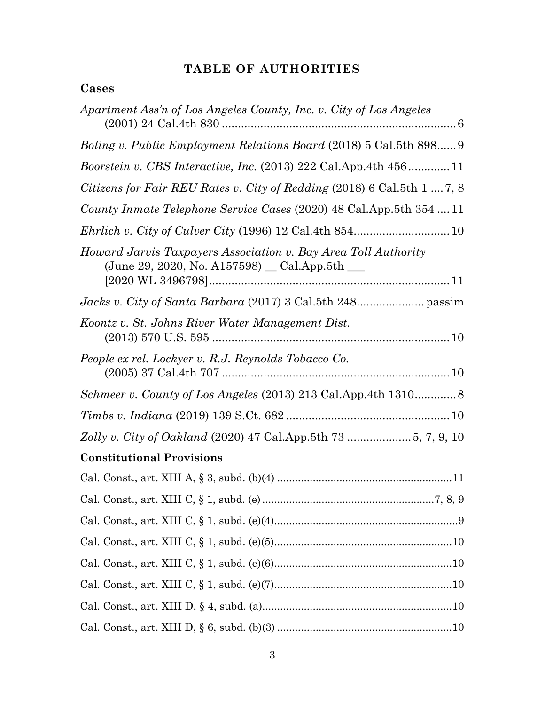# **TABLE OF AUTHORITIES**

# **Cases**

| Apartment Ass'n of Los Angeles County, Inc. v. City of Los Angeles                                              |
|-----------------------------------------------------------------------------------------------------------------|
| Boling v. Public Employment Relations Board (2018) 5 Cal.5th 898 9                                              |
| <i>Boorstein v. CBS Interactive, Inc.</i> (2013) 222 Cal.App.4th 45611                                          |
| Citizens for Fair REU Rates v. City of Redding (2018) 6 Cal.5th 1  7, 8                                         |
| County Inmate Telephone Service Cases (2020) 48 Cal. App. 5th 354  11                                           |
|                                                                                                                 |
| Howard Jarvis Taxpayers Association v. Bay Area Toll Authority<br>(June 29, 2020, No. A157598) _ Cal.App.5th __ |
|                                                                                                                 |
| Koontz v. St. Johns River Water Management Dist.                                                                |
| People ex rel. Lockyer v. R.J. Reynolds Tobacco Co.                                                             |
|                                                                                                                 |
|                                                                                                                 |
|                                                                                                                 |
| <b>Constitutional Provisions</b>                                                                                |
|                                                                                                                 |
|                                                                                                                 |
|                                                                                                                 |
|                                                                                                                 |
|                                                                                                                 |
|                                                                                                                 |
|                                                                                                                 |
|                                                                                                                 |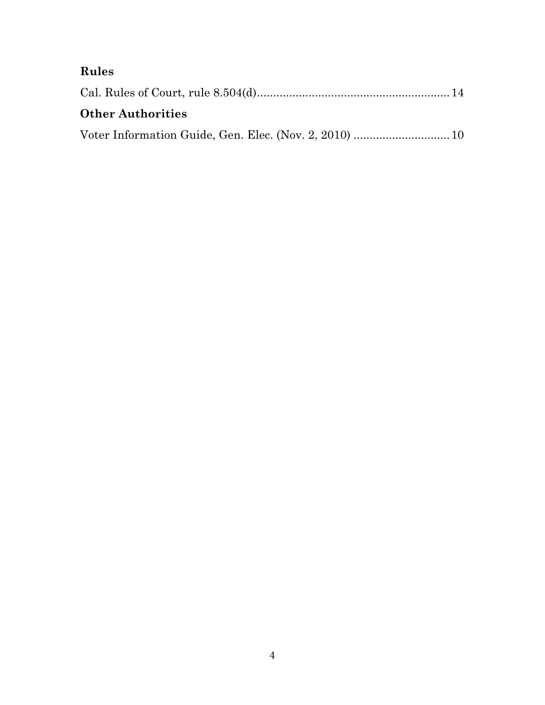# **Rules**

| <b>Other Authorities</b> |  |
|--------------------------|--|
|                          |  |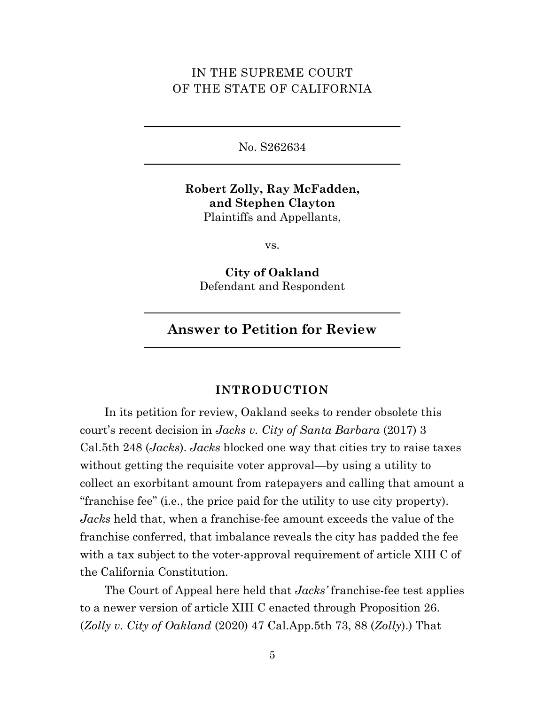### IN THE SUPREME COURT OF THE STATE OF CALIFORNIA

No. S262634

**Robert Zolly, Ray McFadden, and Stephen Clayton** Plaintiffs and Appellants,

vs.

**City of Oakland** Defendant and Respondent

**Answer to Petition for Review**

#### **INTRODUCTION**

In its petition for review, Oakland seeks to render obsolete this court's recent decision in *Jacks v. City of Santa Barbara* (2017) 3 Cal.5th 248 (*Jacks*). *Jacks* blocked one way that cities try to raise taxes without getting the requisite voter approval—by using a utility to collect an exorbitant amount from ratepayers and calling that amount a "franchise fee" (i.e., the price paid for the utility to use city property). *Jacks* held that, when a franchise-fee amount exceeds the value of the franchise conferred, that imbalance reveals the city has padded the fee with a tax subject to the voter-approval requirement of article XIII C of the California Constitution.

The Court of Appeal here held that *Jacks'* franchise-fee test applies to a newer version of article XIII C enacted through Proposition 26. (*Zolly v. City of Oakland* (2020) 47 Cal.App.5th 73, 88 (*Zolly*).) That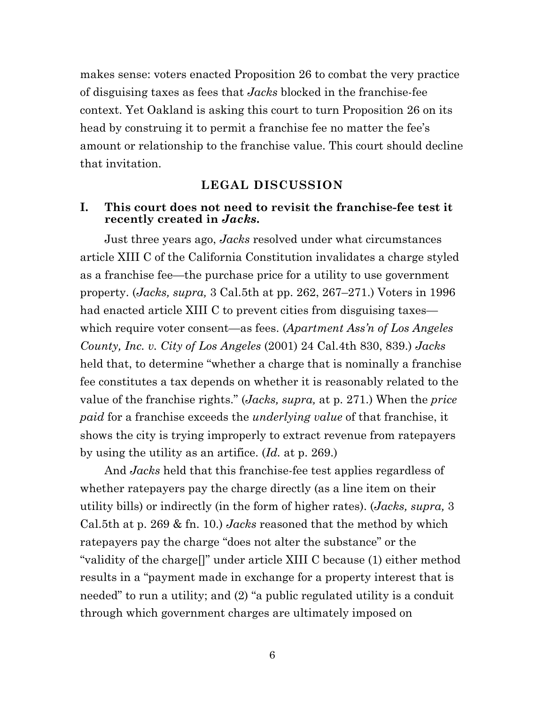makes sense: voters enacted Proposition 26 to combat the very practice of disguising taxes as fees that *Jacks* blocked in the franchise-fee context. Yet Oakland is asking this court to turn Proposition 26 on its head by construing it to permit a franchise fee no matter the fee's amount or relationship to the franchise value. This court should decline that invitation.

### **LEGAL DISCUSSION**

#### **I. This court does not need to revisit the franchise-fee test it recently created in** *Jacks***.**

Just three years ago, *Jacks* resolved under what circumstances article XIII C of the California Constitution invalidates a charge styled as a franchise fee—the purchase price for a utility to use government property. (*Jacks, supra,* 3 Cal.5th at pp. 262, 267–271.) Voters in 1996 had enacted article XIII C to prevent cities from disguising taxes which require voter consent—as fees. (*Apartment Ass'n of Los Angeles County, Inc. v. City of Los Angeles* (2001) 24 Cal.4th 830, 839.) *Jacks* held that, to determine "whether a charge that is nominally a franchise fee constitutes a tax depends on whether it is reasonably related to the value of the franchise rights." (*Jacks, supra,* at p. 271.) When the *price paid* for a franchise exceeds the *underlying value* of that franchise, it shows the city is trying improperly to extract revenue from ratepayers by using the utility as an artifice. (*Id.* at p. 269.)

And *Jacks* held that this franchise-fee test applies regardless of whether ratepayers pay the charge directly (as a line item on their utility bills) or indirectly (in the form of higher rates). (*Jacks, supra,* 3 Cal.5th at p. 269 & fn. 10.) *Jacks* reasoned that the method by which ratepayers pay the charge "does not alter the substance" or the "validity of the charge[]" under article XIII C because (1) either method results in a "payment made in exchange for a property interest that is needed" to run a utility; and (2) "a public regulated utility is a conduit through which government charges are ultimately imposed on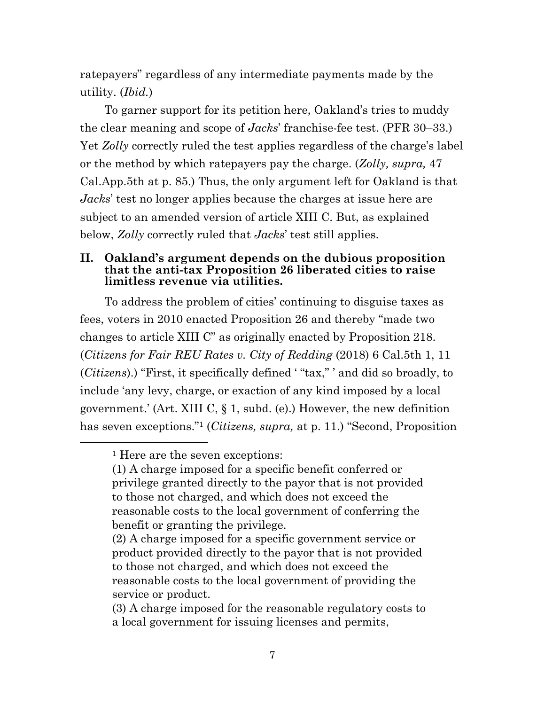ratepayers" regardless of any intermediate payments made by the utility. (*Ibid.*)

To garner support for its petition here, Oakland's tries to muddy the clear meaning and scope of *Jacks*' franchise-fee test. (PFR 30–33.) Yet *Zolly* correctly ruled the test applies regardless of the charge's label or the method by which ratepayers pay the charge. (*Zolly, supra,* 47 Cal.App.5th at p. 85.) Thus, the only argument left for Oakland is that *Jacks*' test no longer applies because the charges at issue here are subject to an amended version of article XIII C. But, as explained below, *Zolly* correctly ruled that *Jacks*' test still applies.

#### **II. Oakland's argument depends on the dubious proposition that the anti-tax Proposition 26 liberated cities to raise limitless revenue via utilities.**

To address the problem of cities' continuing to disguise taxes as fees, voters in 2010 enacted Proposition 26 and thereby "made two changes to article XIII C" as originally enacted by Proposition 218. (*Citizens for Fair REU Rates v. City of Redding* (2018) 6 Cal.5th 1, 11 (*Citizens*).) "First, it specifically defined ' "tax," ' and did so broadly, to include 'any levy, charge, or exaction of any kind imposed by a local government.' (Art. XIII C, § 1, subd. (e).) However, the new definition has seven exceptions."1 (*Citizens, supra,* at p. 11.) "Second, Proposition

<sup>&</sup>lt;sup>1</sup> Here are the seven exceptions:

<sup>(1)</sup> A charge imposed for a specific benefit conferred or privilege granted directly to the payor that is not provided to those not charged, and which does not exceed the reasonable costs to the local government of conferring the benefit or granting the privilege.

<sup>(2)</sup> A charge imposed for a specific government service or product provided directly to the payor that is not provided to those not charged, and which does not exceed the reasonable costs to the local government of providing the service or product.

<sup>(3)</sup> A charge imposed for the reasonable regulatory costs to a local government for issuing licenses and permits,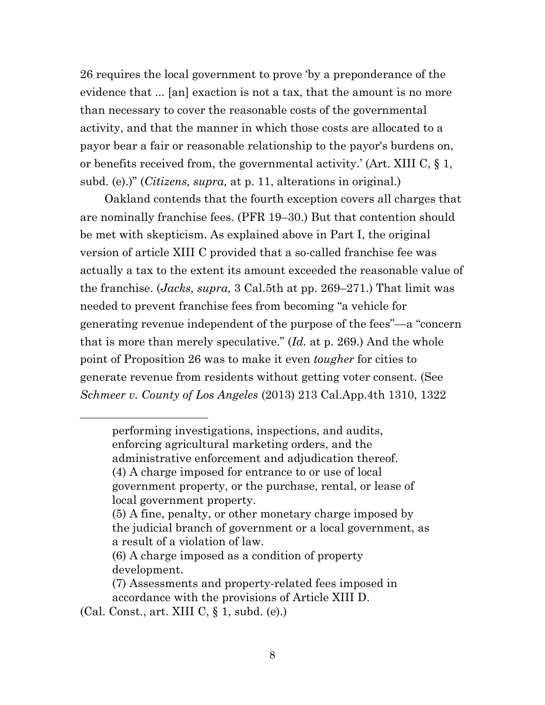26 requires the local government to prove 'by a preponderance of the evidence that ... [an] exaction is not a tax, that the amount is no more than necessary to cover the reasonable costs of the governmental activity, and that the manner in which those costs are allocated to a payor bear a fair or reasonable relationship to the payor's burdens on, or benefits received from, the governmental activity.' (Art. XIII C, § 1, subd. (e).)" (*Citizens, supra,* at p. 11, alterations in original.)

Oakland contends that the fourth exception covers all charges that are nominally franchise fees. (PFR 19–30.) But that contention should be met with skepticism. As explained above in Part I, the original version of article XIII C provided that a so-called franchise fee was actually a tax to the extent its amount exceeded the reasonable value of the franchise. (*Jacks, supra,* 3 Cal.5th at pp. 269–271.) That limit was needed to prevent franchise fees from becoming "a vehicle for generating revenue independent of the purpose of the fees"—a "concern that is more than merely speculative." (*Id.* at p. 269.) And the whole point of Proposition 26 was to make it even *tougher* for cities to generate revenue from residents without getting voter consent. (See *Schmeer v. County of Los Angeles* (2013) 213 Cal.App.4th 1310, 1322

performing investigations, inspections, and audits, enforcing agricultural marketing orders, and the administrative enforcement and adjudication thereof. (4) A charge imposed for entrance to or use of local government property, or the purchase, rental, or lease of local government property.

<sup>(5)</sup> A fine, penalty, or other monetary charge imposed by the judicial branch of government or a local government, as a result of a violation of law.

<sup>(6)</sup> A charge imposed as a condition of property development.

<sup>(7)</sup> Assessments and property-related fees imposed in accordance with the provisions of Article XIII D.

<sup>(</sup>Cal. Const., art. XIII C, § 1, subd. (e).)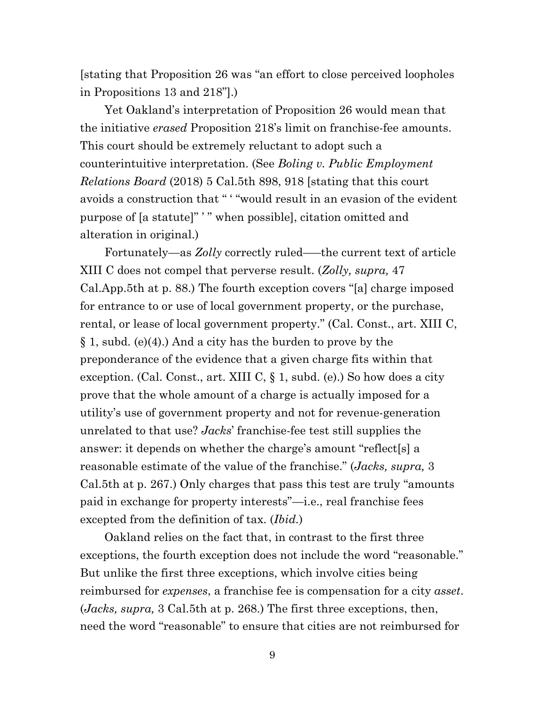[stating that Proposition 26 was "an effort to close perceived loopholes in Propositions 13 and 218"].)

Yet Oakland's interpretation of Proposition 26 would mean that the initiative *erased* Proposition 218's limit on franchise-fee amounts. This court should be extremely reluctant to adopt such a counterintuitive interpretation. (See *Boling v. Public Employment Relations Board* (2018) 5 Cal.5th 898, 918 [stating that this court avoids a construction that " ' "would result in an evasion of the evident purpose of [a statute]" ' " when possible], citation omitted and alteration in original.)

Fortunately—as *Zolly* correctly ruled–—the current text of article XIII C does not compel that perverse result. (*Zolly, supra,* 47 Cal.App.5th at p. 88.) The fourth exception covers "[a] charge imposed for entrance to or use of local government property, or the purchase, rental, or lease of local government property." (Cal. Const., art. XIII C, § 1, subd. (e)(4).) And a city has the burden to prove by the preponderance of the evidence that a given charge fits within that exception. (Cal. Const., art. XIII C, § 1, subd. (e).) So how does a city prove that the whole amount of a charge is actually imposed for a utility's use of government property and not for revenue-generation unrelated to that use? *Jacks*' franchise-fee test still supplies the answer: it depends on whether the charge's amount "reflect[s] a reasonable estimate of the value of the franchise." (*Jacks, supra,* 3 Cal.5th at p. 267.) Only charges that pass this test are truly "amounts paid in exchange for property interests"—i.e., real franchise fees excepted from the definition of tax. (*Ibid.*)

Oakland relies on the fact that, in contrast to the first three exceptions, the fourth exception does not include the word "reasonable." But unlike the first three exceptions, which involve cities being reimbursed for *expenses*, a franchise fee is compensation for a city *asset*. (*Jacks, supra,* 3 Cal.5th at p. 268.) The first three exceptions, then, need the word "reasonable" to ensure that cities are not reimbursed for

9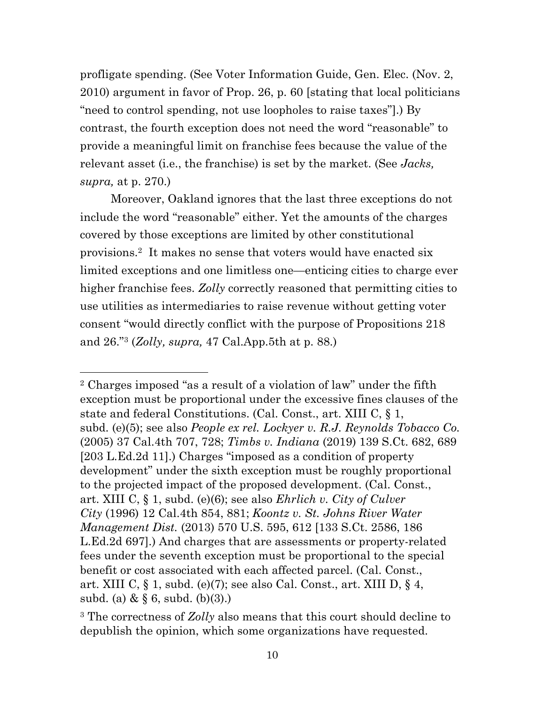profligate spending. (See Voter Information Guide, Gen. Elec. (Nov. 2, 2010) argument in favor of Prop. 26, p. 60 [stating that local politicians "need to control spending, not use loopholes to raise taxes"].) By contrast, the fourth exception does not need the word "reasonable" to provide a meaningful limit on franchise fees because the value of the relevant asset (i.e., the franchise) is set by the market. (See *Jacks, supra,* at p. 270.)

Moreover, Oakland ignores that the last three exceptions do not include the word "reasonable" either. Yet the amounts of the charges covered by those exceptions are limited by other constitutional provisions.2 It makes no sense that voters would have enacted six limited exceptions and one limitless one—enticing cities to charge ever higher franchise fees. *Zolly* correctly reasoned that permitting cities to use utilities as intermediaries to raise revenue without getting voter consent "would directly conflict with the purpose of Propositions 218 and 26."3 (*Zolly, supra,* 47 Cal.App.5th at p. 88.)

<sup>2</sup> Charges imposed "as a result of a violation of law" under the fifth exception must be proportional under the excessive fines clauses of the state and federal Constitutions. (Cal. Const., art. XIII C, § 1, subd. (e)(5); see also *People ex rel. Lockyer v. R.J. Reynolds Tobacco Co.*  (2005) 37 Cal.4th 707, 728; *Timbs v. Indiana* (2019) 139 S.Ct. 682, 689 [203 L.Ed.2d 11].) Charges "imposed as a condition of property development" under the sixth exception must be roughly proportional to the projected impact of the proposed development. (Cal. Const., art. XIII C, § 1, subd. (e)(6); see also *Ehrlich v. City of Culver City* (1996) 12 Cal.4th 854, 881; *Koontz v. St. Johns River Water Management Dist.* (2013) 570 U.S. 595, 612 [133 S.Ct. 2586, 186 L.Ed.2d 697].) And charges that are assessments or property-related fees under the seventh exception must be proportional to the special benefit or cost associated with each affected parcel. (Cal. Const., art. XIII C, § 1, subd. (e)(7); see also Cal. Const., art. XIII D, § 4, subd. (a) &  $\S 6$ , subd. (b)(3).)

<sup>3</sup> The correctness of *Zolly* also means that this court should decline to depublish the opinion, which some organizations have requested.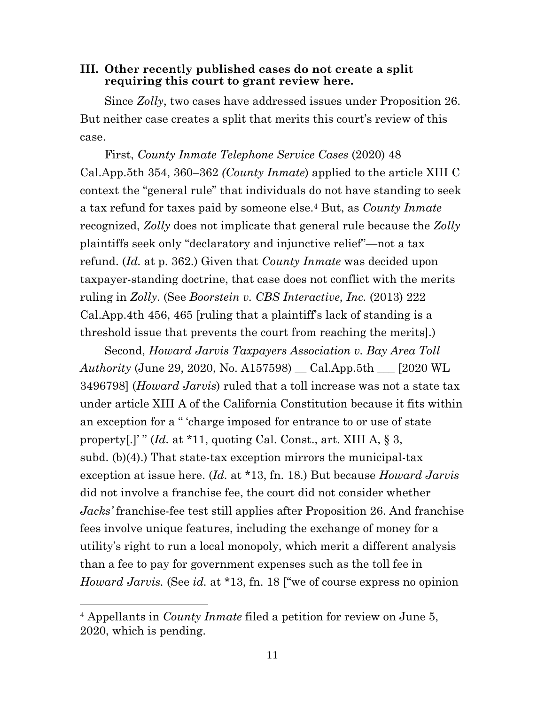#### **III. Other recently published cases do not create a split requiring this court to grant review here.**

Since *Zolly*, two cases have addressed issues under Proposition 26. But neither case creates a split that merits this court's review of this case.

First, *County Inmate Telephone Service Cases* (2020) 48 Cal.App.5th 354, 360–362 *(County Inmate*) applied to the article XIII C context the "general rule" that individuals do not have standing to seek a tax refund for taxes paid by someone else.4 But, as *County Inmate* recognized, *Zolly* does not implicate that general rule because the *Zolly*  plaintiffs seek only "declaratory and injunctive relief"—not a tax refund. (*Id.* at p. 362.) Given that *County Inmate* was decided upon taxpayer-standing doctrine, that case does not conflict with the merits ruling in *Zolly*. (See *Boorstein v. CBS Interactive, Inc.* (2013) 222 Cal.App.4th 456, 465 [ruling that a plaintiff's lack of standing is a threshold issue that prevents the court from reaching the merits].)

Second, *Howard Jarvis Taxpayers Association v. Bay Area Toll Authority* (June 29, 2020, No. A157598) \_\_ Cal.App.5th \_\_\_ [2020 WL 3496798] (*Howard Jarvis*) ruled that a toll increase was not a state tax under article XIII A of the California Constitution because it fits within an exception for a " 'charge imposed for entrance to or use of state property[.]'" (*Id.* at \*11, quoting Cal. Const., art. XIII A, § 3, subd. (b)(4).) That state-tax exception mirrors the municipal-tax exception at issue here. (*Id.* at \*13, fn. 18.) But because *Howard Jarvis* did not involve a franchise fee, the court did not consider whether *Jacks'* franchise-fee test still applies after Proposition 26. And franchise fees involve unique features, including the exchange of money for a utility's right to run a local monopoly, which merit a different analysis than a fee to pay for government expenses such as the toll fee in *Howard Jarvis.* (See *id.* at \*13, fn. 18 ["we of course express no opinion

<sup>4</sup> Appellants in *County Inmate* filed a petition for review on June 5, 2020, which is pending.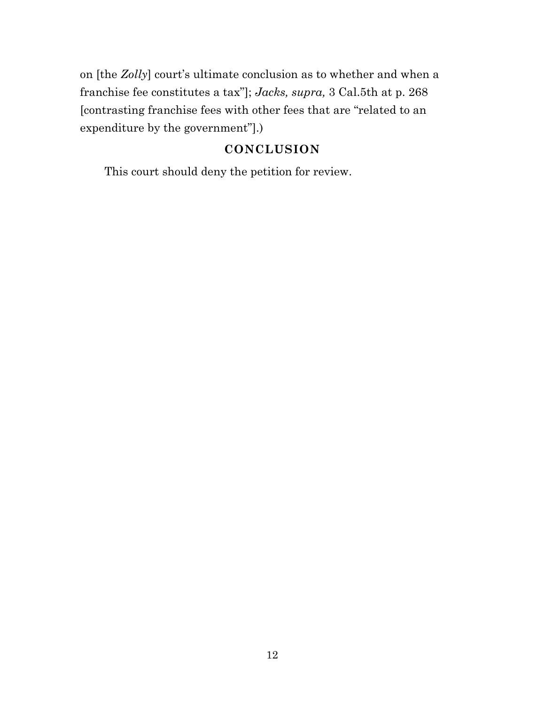on [the *Zolly*] court's ultimate conclusion as to whether and when a franchise fee constitutes a tax"]; *Jacks, supra,* 3 Cal.5th at p. 268 [contrasting franchise fees with other fees that are "related to an expenditure by the government"].)

### **CONCLUSION**

This court should deny the petition for review.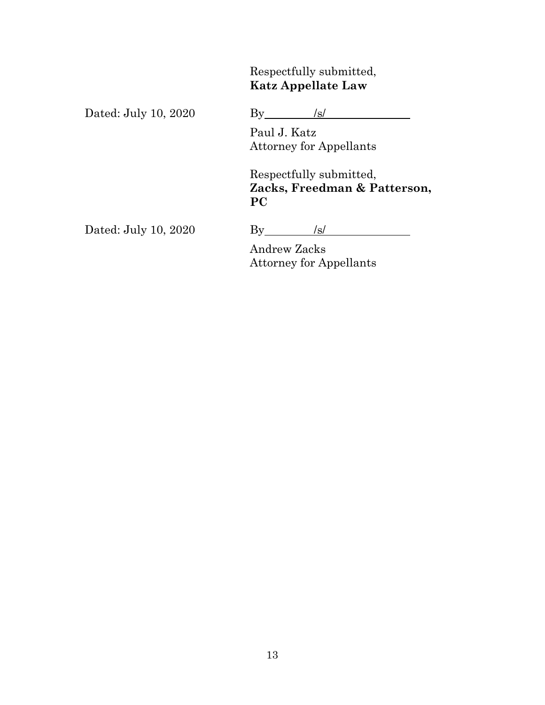Respectfully submitted, **Katz Appellate Law**

Dated: July 10, 2020 By /s/

Paul J. Katz Attorney for Appellants

Respectfully submitted, **Zacks, Freedman & Patterson, PC**

Dated: July 10, 2020 By /s/

Andrew Zacks Attorney for Appellants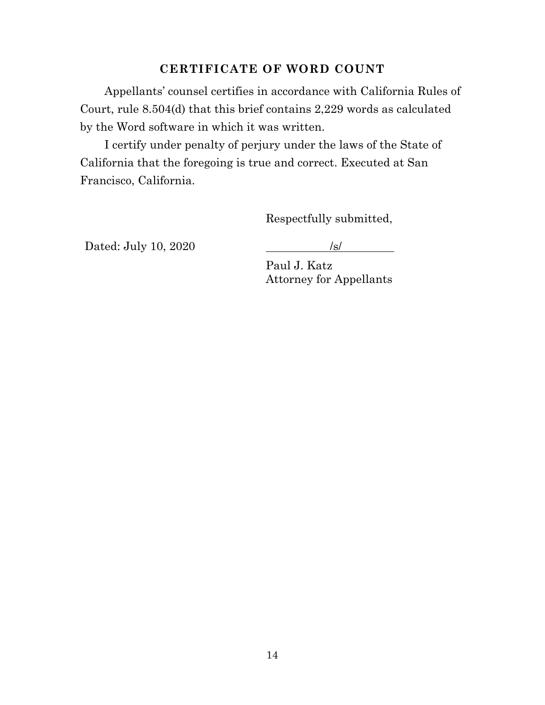### **CERTIFICATE OF WORD COUNT**

Appellants' counsel certifies in accordance with California Rules of Court, rule 8.504(d) that this brief contains 2,229 words as calculated by the Word software in which it was written.

I certify under penalty of perjury under the laws of the State of California that the foregoing is true and correct. Executed at San Francisco, California.

Respectfully submitted,

Dated: July 10, 2020 /s/

Paul J. Katz Attorney for Appellants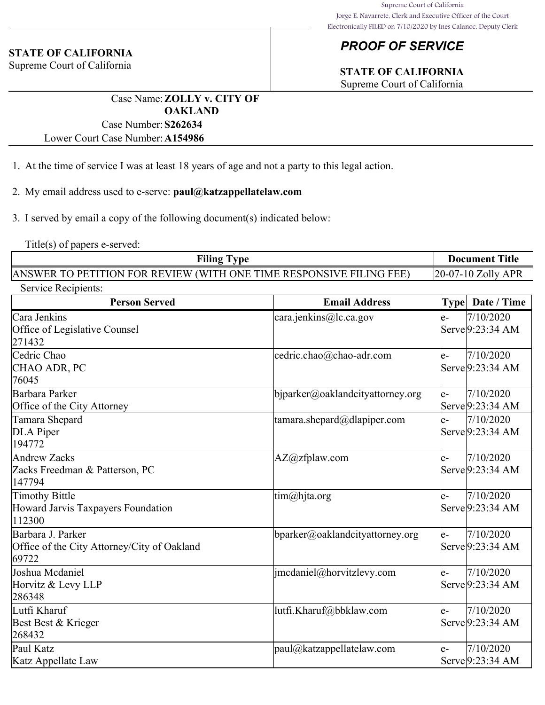# *PROOF OF SERVICE*

# **STATE OF CALIFORNIA**

Supreme Court of California

Case Name:**ZOLLY v. CITY OF OAKLAND** Case Number:**S262634**

Lower Court Case Number:**A154986**

- 1. At the time of service I was at least 18 years of age and not a party to this legal action.
- 2. My email address used to e-serve: **paul@katzappellatelaw.com**
- 3. I served by email a copy of the following document(s) indicated below:

Title(s) of papers e-served:

**STATE OF CALIFORNIA** Supreme Court of California

| <b>Filing Type</b>                                                  | <b>Document Title</b>  |
|---------------------------------------------------------------------|------------------------|
| ANSWER TO PETITION FOR REVIEW (WITH ONE TIME RESPONSIVE FILING FEE) | $[20-07-10 Zolly APR]$ |

| Service Recipients:                                                       |                                  |                                                          |  |
|---------------------------------------------------------------------------|----------------------------------|----------------------------------------------------------|--|
| <b>Person Served</b>                                                      | <b>Email Address</b>             | Date / Time<br><b>Type</b>                               |  |
| Cara Jenkins<br>Office of Legislative Counsel<br>271432                   | cara.jenkins@lc.ca.gov           | 7/10/2020<br>$e-$<br>Serve 9:23:34 AM                    |  |
| Cedric Chao<br>CHAO ADR, PC<br>76045                                      | cedric.chao@chao-adr.com         | 7/10/2020<br>$e-$<br>Serve 9:23:34 AM                    |  |
| Barbara Parker<br>Office of the City Attorney                             | bjparker@oaklandcityattorney.org | 7/10/2020<br>$e-$<br>Serve 9:23:34 AM                    |  |
| Tamara Shepard<br>DLA Piper<br>194772                                     | tamara.shepard@dlapiper.com      | 7/10/2020<br>$e-$<br>Serve 9:23:34 AM                    |  |
| <b>Andrew Zacks</b><br>Zacks Freedman & Patterson, PC<br>147794           | $AZ@zf$ plaw.com                 | 7/10/2020<br>$e-$<br>Serve 9:23:34 AM                    |  |
| <b>Timothy Bittle</b><br>Howard Jarvis Taxpayers Foundation<br>112300     | tim@hjta.org                     | 7/10/2020<br>$e-$<br>Serve 9:23:34 AM                    |  |
| Barbara J. Parker<br>Office of the City Attorney/City of Oakland<br>69722 | bparker@oaklandcityattorney.org  | 7/10/2020<br>le-<br>Serve 9:23:34 AM                     |  |
| Joshua Mcdaniel<br>Horvitz & Levy LLP<br>286348                           | jmcdaniel@horvitzlevy.com        | 7/10/2020<br>$e-$<br>Serve 9:23:34 AM                    |  |
| Lutfi Kharuf<br>Best Best & Krieger<br>268432                             | lutfi.Kharuf@bbklaw.com          | 7/10/2020<br>$e-$<br>Serve 9:23:34 AM                    |  |
| Paul Katz<br>Katz Appellate Law                                           | paul@katzappellatelaw.com        | 7/10/2020<br>$e-$<br>$\text{Service} 9:23:34 \text{ AM}$ |  |